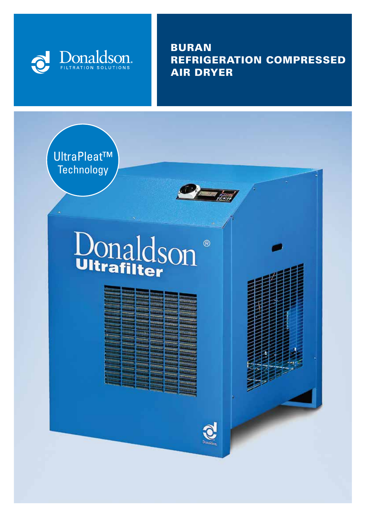

BURAN REFRIGERATION COMPRESSED AIR DRYER

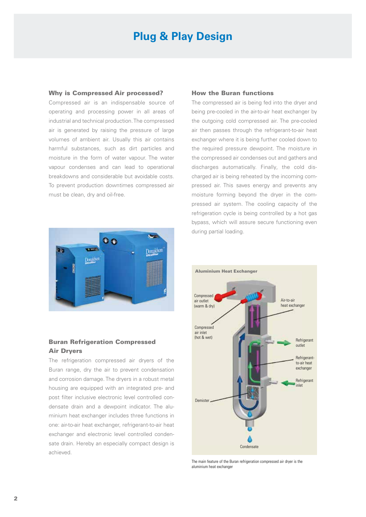# **Plug & Play Design**

#### Why is Compressed Air processed?

Compressed air is an indispensable source of operating and processing power in all areas of industrial and technical production. The compressed air is generated by raising the pressure of large volumes of ambient air. Usually this air contains harmful substances, such as dirt particles and moisture in the form of water vapour. The water vapour condenses and can lead to operational breakdowns and considerable but avoidable costs. To prevent production downtimes compressed air must be clean, dry and oil-free.



### Buran Refrigeration Compressed Air Dryers

The refrigeration compressed air dryers of the Buran range, dry the air to prevent condensation and corrosion damage. The dryers in a robust metal housing are equipped with an integrated pre- and post filter inclusive electronic level controlled condensate drain and a dewpoint indicator. The aluminium heat exchanger includes three functions in one: air-to-air heat exchanger, refrigerant-to-air heat exchanger and electronic level controlled condensate drain. Hereby an especially compact design is achieved.

#### How the Buran functions

The compressed air is being fed into the dryer and being pre-cooled in the air-to-air heat exchanger by the outgoing cold compressed air. The pre-cooled air then passes through the refrigerant-to-air heat exchanger where it is being further cooled down to the required pressure dewpoint. The moisture in the compressed air condenses out and gathers and discharges automatically. Finally, the cold discharged air is being reheated by the incoming compressed air. This saves energy and prevents any moisture forming beyond the dryer in the compressed air system. The cooling capacity of the refrigeration cycle is being controlled by a hot gas bypass, which will assure secure functioning even during partial loading.



The main feature of the Buran refrigeration compressed air dryer is the aluminium heat exchanger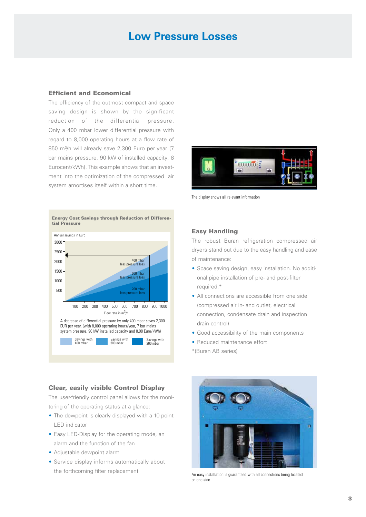## **Low Pressure Losses**

#### Efficient and Economical

The efficiency of the outmost compact and space saving design is shown by the significant reduction of the differential pressure. Only a 400 mbar lower differential pressure with regard to 8,000 operating hours at a flow rate of 850 m<sup>3</sup>/h will already save 2,300 Euro per year (7 bar mains pressure, 90 kW of installed capacity, 8 Eurocent/kWh). This example shows that an investment into the optimization of the compressed air system amortises itself within a short time.





The display shows all relevant information

### Easy Handling

The robust Buran refrigeration compressed air dryers stand out due to the easy handling and ease of maintenance:

- Space saving design, easy installation. No additional pipe installation of pre- and post-filter required.\*
- All connections are accessible from one side (compressed air in- and outlet, electrical connection, condensate drain and inspection drain control)
- Good accessibility of the main components
- Reduced maintenance effort
- \*(Buran AB series)



An easy installation is guaranteed with all connections being located on one side

#### Clear, easily visible Control Display

The user-friendly control panel allows for the monitoring of the operating status at a glance:

- The dewpoint is clearly displayed with a 10 point LED indicator
- Easy LED-Display for the operating mode, an alarm and the function of the fan
- Adjustable dewpoint alarm
- Service display informs automatically about the forthcoming filter replacement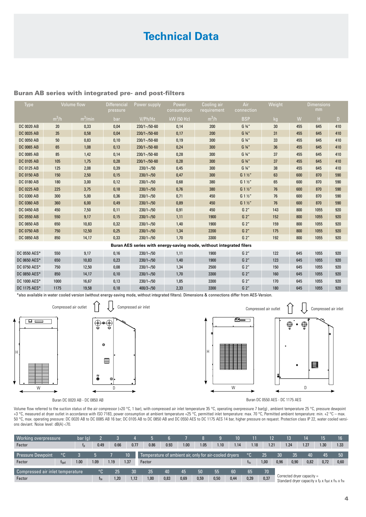# **Technical Data**

#### Buran AB series with integrated pre- and post-filters

| Type              | Volume flow     |            | pressure | Differencial Power supply | Power      | Cooling air<br>consumption requirement | connection                      | Weight          | <b>Dimensions</b><br>mm - |      |     |
|-------------------|-----------------|------------|----------|---------------------------|------------|----------------------------------------|---------------------------------|-----------------|---------------------------|------|-----|
|                   | $m^3/h$         | $m^3/m$ in | bar      | V/Ph/Hz                   | kW (50 Hz) | $m^3/h$                                | BSP                             |                 |                           |      |     |
| DC 0020 AB        | 20 <sup>°</sup> | 0,33       | 0,04     | $230/1 - 50 - 60$         | 0,14       | 200                                    | $G \frac{3}{4}$ "               | 30 <sup>°</sup> | 455                       | 645  | 410 |
| DC 0035 AB        | 35              | 0,58       | 0,04     | $230/1 - 50 - 60$         | 0,17       | 200                                    | $G \frac{3}{4}$ "               | 31              | 455                       | 645  | 410 |
| <b>DC 0050 AB</b> | 50              | 0,83       | 0,10     | $230/1 - 50 - 60$         | 0,19       | 300                                    | $G \frac{3}{4}$ "               | 33 <sup>2</sup> | 455                       | 645  | 410 |
| <b>DC 0065 AB</b> | 65              | 1,08       | 0,13     | $230/1 - 50 - 60$         | 0,24       | 300                                    | $G_3/4''$                       | 36 <sup>2</sup> | 455                       | 645  | 410 |
| DC 0085 AB        | 85              | 1,42       | 0,14     | $230/1 - 50 - 60$         | 0,28       | 300                                    | $G \frac{3}{4}$ "               | 37              | 455                       | 645  | 410 |
| <b>DC 0105 AB</b> | 105             | 1,75       | 0,28     | $230/1 - 50 - 60$         | 0,28       | 300                                    | $G \frac{3}{4}$ "               | 37              | 455                       | 645  | 410 |
| DC 0125 AB        | 125             | 2,08       | 0,39     | $230/1 - 50$              | 0,45       | 300                                    | $G \frac{3}{4}$ "               | 38              | 455                       | 645  | 410 |
| <b>DC 0150 AB</b> | 150             | 2,50       | 0,15     | $230/1 - 50$              | 0,47       | 300                                    | G 1 <sup>1</sup> / <sub>2</sub> | 63              | 600                       | 870  | 590 |
| <b>DC 0180 AB</b> | 180             | 3,00       | 0,12     | $230/1 - 50$              | 0,68       | 380                                    | G 1 <sup>1</sup>                | 65              | 600                       | 870  | 590 |
| <b>DC 0225 AB</b> | 225             | 3,75       | 0,18     | $230/1 - 50$              | 0,76       | 380                                    | G 1 <sup>1</sup> / <sub>2</sub> | 76              | 600                       | 870  | 590 |
| DC 0300 AB        | 300             | 5,00       | 0,36     | $230/1 - 50$              | 0,71       | 450                                    | $G_1 \frac{1}{2}$               | 76              | 600                       | 870  | 590 |
| DC 0360 AB        | 360             | 6.00       | 0,49     | $230/1 - 50$              | 0,89       | 450                                    | G 1 <sup>1</sup> / <sub>2</sub> | 76              | 600                       | 870  | 590 |
| <b>DC 0450 AB</b> | 450             | 7,50       | 0,11     | $230/1 - 50$              | 0,91       | 450                                    | G 2"                            | 143             | 800                       | 1055 | 920 |
| <b>DC 0550 AB</b> | 550             | 9,17       | 0,15     | $230/1 - 50$              | 1,11       | 1900                                   | G 2"                            | 152             | 800                       | 1055 | 920 |
| DC 0650 AB        | 650             | 10,83      | 0,32     | $230/1 - 50$              | 1,40       | 1900                                   | G 2"                            | 159             | 800                       | 1055 | 920 |
| <b>DC 0750 AB</b> | 750             | 12,50      | 0,25     | $230/1 - 50$              | 1,34       | 2200                                   | G 2"                            | 175             | 800                       | 1055 | 920 |
| <b>DC 0850 AB</b> | 850             | 14,17      | 0,33     | $230/1 - 50$              | 1,70       | 3300                                   | G 2"                            | 192             | 800                       | 1055 | 920 |

**Buran AES series with energy-saving mode, without integrated filers** A

DC 0550 AES\* 550 9,17 0,16 230/1~/50 1,11 1900 G 2" 122 645 1055 920 DC 0650 AES\* 650 10,83 0,23 230/1~/50 1,40 1900 G 2" 123 645 1055 920 DC 0750 AES\* 750 12,50 0,08 230/1~/50 1,34 2500 G 2" 150 645 1055 920 DC 0850 AES\* 850 14,17 0,10 230/1~/50 1,70 3300 G 2" 160 645 1055 920 DC 1000 AES\* 1000 16,67 0,13 230/1~/50 1,85 3300 G 2" 170 645 1055 920 DC 1175 AES\* 1175 19,58 0,18 400/3~/50 2,33 3300 G 2" 180 645 1055 920 N.4x 10

\*also available in water cooled version (without energy-saving mode, without integrated filters). Dimensions & connections differ from AES-Version.





Buran DC 0020 AB - DC 0850 AB

Buran DC 0550 AES - DC 1175 AES

Volume flow referred to the suction status of the air compressor (+20 °C, 1 bar), with compressed air inlet temperature 35 °C, operating overpressure 7 bar(g) , ambient temperature 25 °C, pressure dewpoint +3 °C, measured at dryer outlet in accordance with ISO 7183, power consumption at ambient temperature +25 °C, permitted inlet temperature: max. 70 °C, Permitted ambient temperature: min. +2 °C – max. 50 °C, max. operating pressure: DC 0020 AB to DC 0085 AB 16 bar; DC 0105 AB to DC 0850 AB and DC 0550 AES to DC 1175 AES 14 bar, higher pressure on request. Protection class IP 22, water cooled versions deviant. Noise level: dB(A) <70. d inlet temperature: max. 70 °C, Permitted ambient temper

| <b>Working overpressure</b>      |             | bar(q) |      |      |                 |                                                        |      |      |      |      | 10   |            | 12   |                                                                                 | 13   | 14   | 15   | 16.  |
|----------------------------------|-------------|--------|------|------|-----------------|--------------------------------------------------------|------|------|------|------|------|------------|------|---------------------------------------------------------------------------------|------|------|------|------|
| Factor                           |             |        | 0.49 | 0.66 | 0.77            | 0.86                                                   | 0.93 | 1.00 | 1.05 | 1.10 | 1.14 | 1.18       | 1.21 |                                                                                 | 1.24 | 1.27 | 1.30 | 1.33 |
|                                  |             |        |      |      |                 |                                                        |      |      |      |      |      | $^{\circ}$ |      |                                                                                 |      |      |      |      |
| <b>Pressure Dewpoint</b>         | $^{\circ}$  |        |      |      | 10 <sup>1</sup> | Temperature of ambient air, only for air-cooled dryers |      |      |      |      |      |            | 25   | 30                                                                              | 35   | 40   | 45   | 50   |
| Factor                           | <b>Ttpd</b> | 1.00   | 1.09 | 1.19 | 1.37            | Factor                                                 |      |      |      |      |      |            |      | 0.96                                                                            | 0.90 | 0,82 | 0,72 | 0,60 |
|                                  |             |        |      |      |                 |                                                        |      |      |      |      |      |            |      |                                                                                 |      |      |      |      |
| Compressed air inlet temperature |             |        | '°C  | 25   | 30.             | 35                                                     | 40   | 45   | 50   | 55   | 60   | 65         | 70   |                                                                                 |      |      |      |      |
| Factor                           |             |        | tte  | .20  | 1.12            | 1.00                                                   | 0,83 | 0,69 | 0,59 | 0,50 | 0,44 | 0,39       | 0,37 | Corrected dryer capacity $=$<br>Standard dryer capacity x fp x ftpd x ftu x fte |      |      |      |      |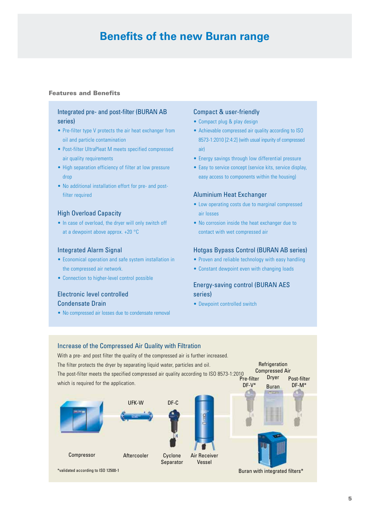## **Benefits of the new Buran range**

#### Features and Benefits

### Integrated pre- and post-filter (BURAN AB series)

- Pre-filter type V protects the air heat exchanger from oil and particle contamination
- Post-filter UltraPleat M meets specified compressed air quality requirements
- High separation efficiency of filter at low pressure drop
- No additional installation effort for pre- and postfilter required

#### High Overload Capacity

• In case of overload, the dryer will only switch off at a dewpoint above approx. +20 °C

#### Integrated Alarm Signal

- Economical operation and safe system installation in the compressed air network.
- Connection to higher-level control possible

## Electronic level controlled Condensate Drain

• No compressed air losses due to condensate removal

#### Compact & user-friendly

- Compact plug & play design
- Achievable compressed air quality according to ISO 8573-1:2010 [2:4:2] (with usual inpurity of compressed air)
- Energy savings through low differential pressure
- Easy to service concept (service kits, service display, easy access to components within the housing)

#### Aluminium Heat Exchanger

- Low operating costs due to marginal compressed air losses
- No corrosion inside the heat exchanger due to contact with wet compressed air

#### Hotgas Bypass Control (BURAN AB series)

- Proven and reliable technology with easy handling
- Constant dewpoint even with changing loads

## Energy-saving control (BURAN AES series)

• Dewpoint controlled switch

#### Increase of the Compressed Air Quality with Filtration



\*validated according to ISO 12500-1